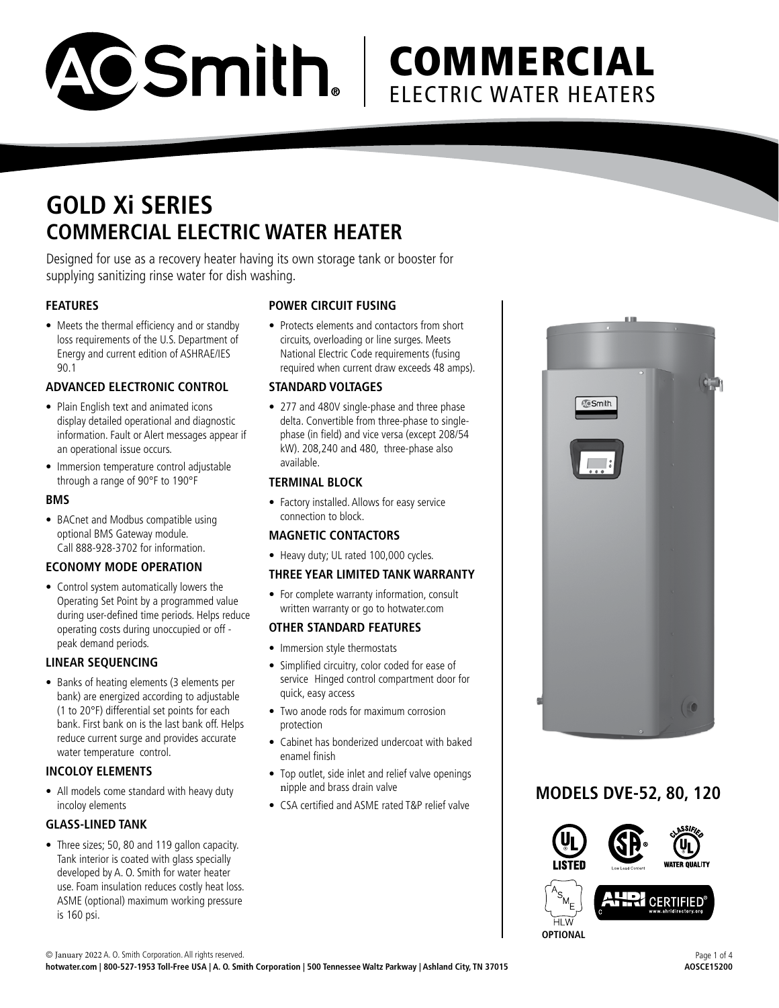

## **GOLD Xi SERIES COMMERCIAL ELECTRIC WATER HEATER**

Designed for use as a recovery heater having its own storage tank or booster for supplying sanitizing rinse water for dish washing.

#### **FEATURES**

• Meets the thermal efficiency and or standby loss requirements of the U.S. Department of Energy and current edition of ASHRAE/IES 90.1

#### **ADVANCED ELECTRONIC CONTROL**

- Plain English text and animated icons display detailed operational and diagnostic information. Fault or Alert messages appear if an operational issue occurs.
- Immersion temperature control adjustable through a range of 90°F to 190°F

#### **BMS**

• BACnet and Modbus compatible using optional BMS Gateway module. Call 888-928-3702 for information.

#### **ECONOMY MODE OPERATION**

• Control system automatically lowers the Operating Set Point by a programmed value during user-defined time periods. Helps reduce operating costs during unoccupied or off peak demand periods.

#### **LINEAR SEQUENCING**

• Banks of heating elements (3 elements per bank) are energized according to adjustable (1 to 20°F) differential set points for each bank. First bank on is the last bank off. Helps reduce current surge and provides accurate water temperature control.

#### **INCOLOY ELEMENTS**

• All models come standard with heavy duty incoloy elements

#### **GLASS-LINED TANK**

• Three sizes; 50, 80 and 119 gallon capacity. Tank interior is coated with glass specially developed by A. O. Smith for water heater use. Foam insulation reduces costly heat loss. ASME (optional) maximum working pressure is 160 psi.

#### **POWER CIRCUIT FUSING**

• Protects elements and contactors from short circuits, overloading or line surges. Meets National Electric Code requirements (fusing required when current draw exceeds 48 amps).

#### **STANDARD VOLTAGES**

• 277 and 480V single-phase and three phase delta. Convertible from three-phase to singlephase (in field) and vice versa (except 208/54 kW). 208,240 and 480, three-phase also available.

#### **TERMINAL BLOCK**

• Factory installed. Allows for easy service connection to block.

#### **MAGNETIC CONTACTORS**

• Heavy duty; UL rated 100,000 cycles.

#### **THREE YEAR LIMITED TANK WARRANTY**

• For complete warranty information, consult written warranty or go to hotwater.com

#### **OTHER STANDARD FEATURES**

- Immersion style thermostats
- Simplified circuitry, color coded for ease of service Hinged control compartment door for quick, easy access
- Two anode rods for maximum corrosion protection
- Cabinet has bonderized undercoat with baked enamel finish
- Top outlet, side inlet and relief valve openings nipple and brass drain valve
- CSA certified and ASME rated T&P relief valve



### **MODELS DVE-52, 80, 120**

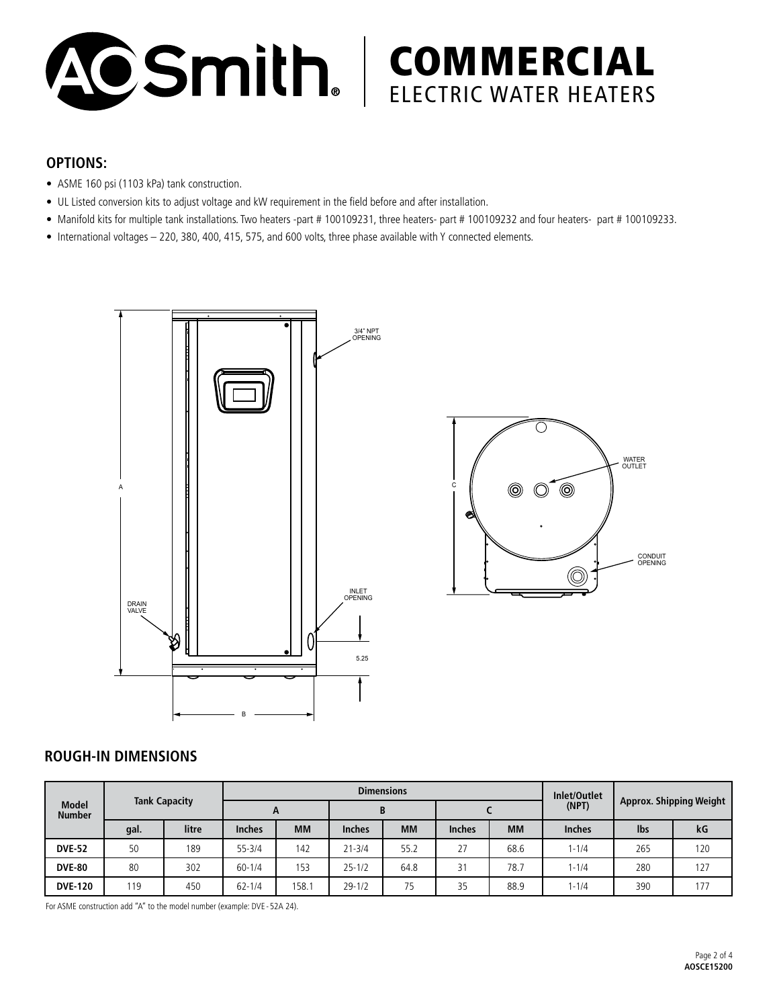

### **OPTIONS:**

- ASME 160 psi (1103 kPa) tank construction.
- UL Listed conversion kits to adjust voltage and kW requirement in the field before and after installation.
- Manifold kits for multiple tank installations. Two heaters -part # 100109231, three heaters- part # 100109232 and four heaters- part # 100109233.
- International voltages 220, 380, 400, 415, 575, and 600 volts, three phase available with Y connected elements.



#### **ROUGH-IN DIMENSIONS**

| <b>Model</b><br><b>Number</b> | <b>Tank Capacity</b> |       |               |           | <b>Dimensions</b> | Inlet/Outlet | <b>Approx. Shipping Weight</b> |           |               |     |     |
|-------------------------------|----------------------|-------|---------------|-----------|-------------------|--------------|--------------------------------|-----------|---------------|-----|-----|
|                               |                      |       | $\mathbf{A}$  |           | B                 |              |                                |           |               |     |     |
|                               | gal.                 | litre | <b>Inches</b> | <b>MM</b> | <b>Inches</b>     | <b>MM</b>    | <b>Inches</b>                  | <b>MM</b> | <b>Inches</b> | lbs | kG  |
| <b>DVE-52</b>                 | 50                   | 189   | $55 - 3/4$    | 142       | $21 - 3/4$        | 55.2         | 27                             | 68.6      | $1 - 1/4$     | 265 | 120 |
| <b>DVE-80</b>                 | 80                   | 302   | $60 - 1/4$    | 153       | $25 - 1/2$        | 64.8         | 31                             | 78.7      | $1 - 1/4$     | 280 | 127 |
| <b>DVE-120</b>                | 119                  | 450   | $62 - 1/4$    | 158.1     | $29 - 1/2$        | 75           | 35                             | 88.9      | $1 - 1/4$     | 390 | 177 |

For ASME construction add "A" to the model number (example: DVE - 52A 24).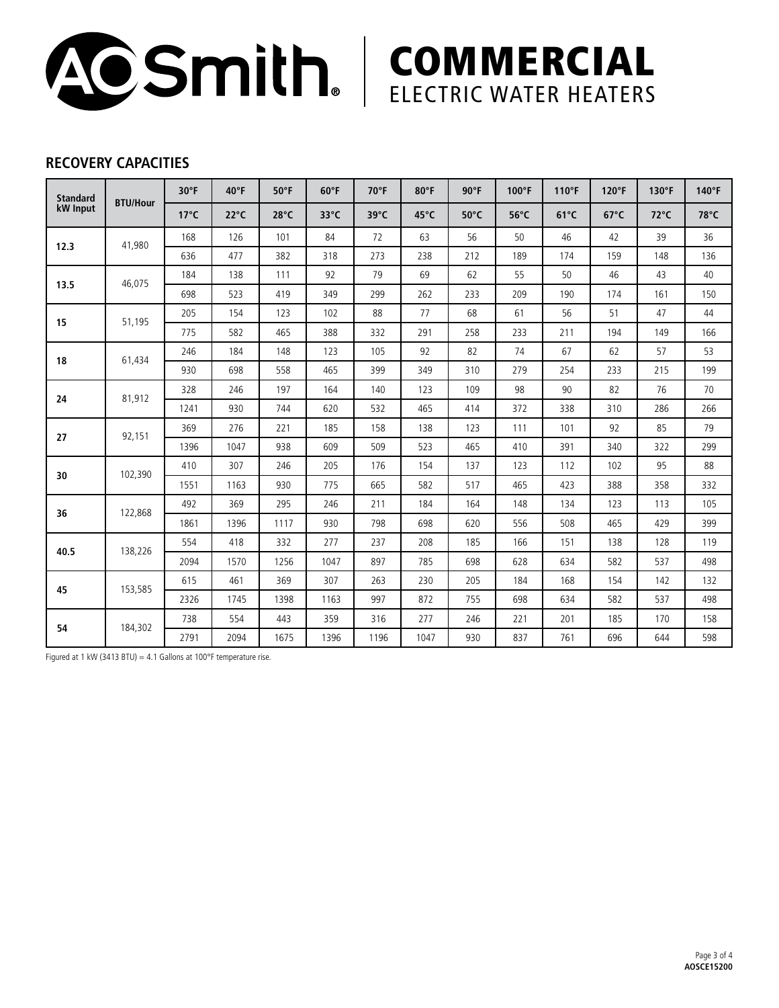

### **RECOVERY CAPACITIES**

| <b>Standard</b><br>kW Input | <b>BTU/Hour</b> | $30^{\circ}$ F | $40^{\circ}$ F | $50^{\circ}$ F | 60°F           | $70^{\circ}$ F | 80°F | $90^{\circ}$ F | 100°F | $110^{\circ}F$ | 120°F          | 130°F          | 140°F |
|-----------------------------|-----------------|----------------|----------------|----------------|----------------|----------------|------|----------------|-------|----------------|----------------|----------------|-------|
|                             |                 | $17^{\circ}$ C | $22^{\circ}C$  | $28^{\circ}$ C | $33^{\circ}$ C | 39°C           | 45°C | $50^{\circ}$ C | 56°C  | $61^{\circ}$ C | $67^{\circ}$ C | $72^{\circ}$ C | 78°C  |
| 12.3                        | 41,980          | 168            | 126            | 101            | 84             | 72             | 63   | 56             | 50    | 46             | 42             | 39             | 36    |
|                             |                 | 636            | 477            | 382            | 318            | 273            | 238  | 212            | 189   | 174            | 159            | 148            | 136   |
| 13.5                        | 46,075          | 184            | 138            | 111            | 92             | 79             | 69   | 62             | 55    | 50             | 46             | 43             | 40    |
|                             |                 | 698            | 523            | 419            | 349            | 299            | 262  | 233            | 209   | 190            | 174            | 161            | 150   |
| 15                          | 51.195          | 205            | 154            | 123            | 102            | 88             | 77   | 68             | 61    | 56             | 51             | 47             | 44    |
|                             |                 | 775            | 582            | 465            | 388            | 332            | 291  | 258            | 233   | 211            | 194            | 149            | 166   |
| 18                          | 61,434          | 246            | 184            | 148            | 123            | 105            | 92   | 82             | 74    | 67             | 62             | 57             | 53    |
|                             |                 | 930            | 698            | 558            | 465            | 399            | 349  | 310            | 279   | 254            | 233            | 215            | 199   |
| 24                          | 81,912          | 328            | 246            | 197            | 164            | 140            | 123  | 109            | 98    | 90             | 82             | 76             | 70    |
|                             |                 | 1241           | 930            | 744            | 620            | 532            | 465  | 414            | 372   | 338            | 310            | 286            | 266   |
| 27                          | 92,151          | 369            | 276            | 221            | 185            | 158            | 138  | 123            | 111   | 101            | 92             | 85             | 79    |
|                             |                 | 1396           | 1047           | 938            | 609            | 509            | 523  | 465            | 410   | 391            | 340            | 322            | 299   |
| 30                          | 102,390         | 410            | 307            | 246            | 205            | 176            | 154  | 137            | 123   | 112            | 102            | 95             | 88    |
|                             |                 | 1551           | 1163           | 930            | 775            | 665            | 582  | 517            | 465   | 423            | 388            | 358            | 332   |
| 36                          | 122,868         | 492            | 369            | 295            | 246            | 211            | 184  | 164            | 148   | 134            | 123            | 113            | 105   |
|                             |                 | 1861           | 1396           | 1117           | 930            | 798            | 698  | 620            | 556   | 508            | 465            | 429            | 399   |
| 40.5                        | 138,226         | 554            | 418            | 332            | 277            | 237            | 208  | 185            | 166   | 151            | 138            | 128            | 119   |
|                             |                 | 2094           | 1570           | 1256           | 1047           | 897            | 785  | 698            | 628   | 634            | 582            | 537            | 498   |
| 45                          | 153,585         | 615            | 461            | 369            | 307            | 263            | 230  | 205            | 184   | 168            | 154            | 142            | 132   |
|                             |                 | 2326           | 1745           | 1398           | 1163           | 997            | 872  | 755            | 698   | 634            | 582            | 537            | 498   |
| 54                          | 184,302         | 738            | 554            | 443            | 359            | 316            | 277  | 246            | 221   | 201            | 185            | 170            | 158   |
|                             |                 | 2791           | 2094           | 1675           | 1396           | 1196           | 1047 | 930            | 837   | 761            | 696            | 644            | 598   |

Figured at 1 kW (3413 BTU) = 4.1 Gallons at 100°F temperature rise.